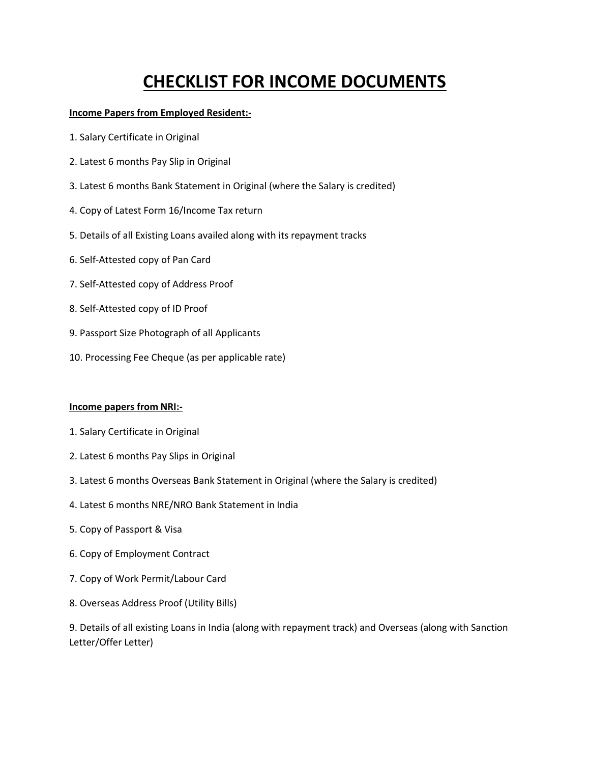# **CHECKLIST FOR INCOME DOCUMENTS**

## **Income Papers from Employed Resident:-**

- 1. Salary Certificate in Original
- 2. Latest 6 months Pay Slip in Original
- 3. Latest 6 months Bank Statement in Original (where the Salary is credited)
- 4. Copy of Latest Form 16/Income Tax return
- 5. Details of all Existing Loans availed along with its repayment tracks
- 6. Self-Attested copy of Pan Card
- 7. Self-Attested copy of Address Proof
- 8. Self-Attested copy of ID Proof
- 9. Passport Size Photograph of all Applicants
- 10. Processing Fee Cheque (as per applicable rate)

## **Income papers from NRI:-**

- 1. Salary Certificate in Original
- 2. Latest 6 months Pay Slips in Original
- 3. Latest 6 months Overseas Bank Statement in Original (where the Salary is credited)
- 4. Latest 6 months NRE/NRO Bank Statement in India
- 5. Copy of Passport & Visa
- 6. Copy of Employment Contract
- 7. Copy of Work Permit/Labour Card
- 8. Overseas Address Proof (Utility Bills)

9. Details of all existing Loans in India (along with repayment track) and Overseas (along with Sanction Letter/Offer Letter)